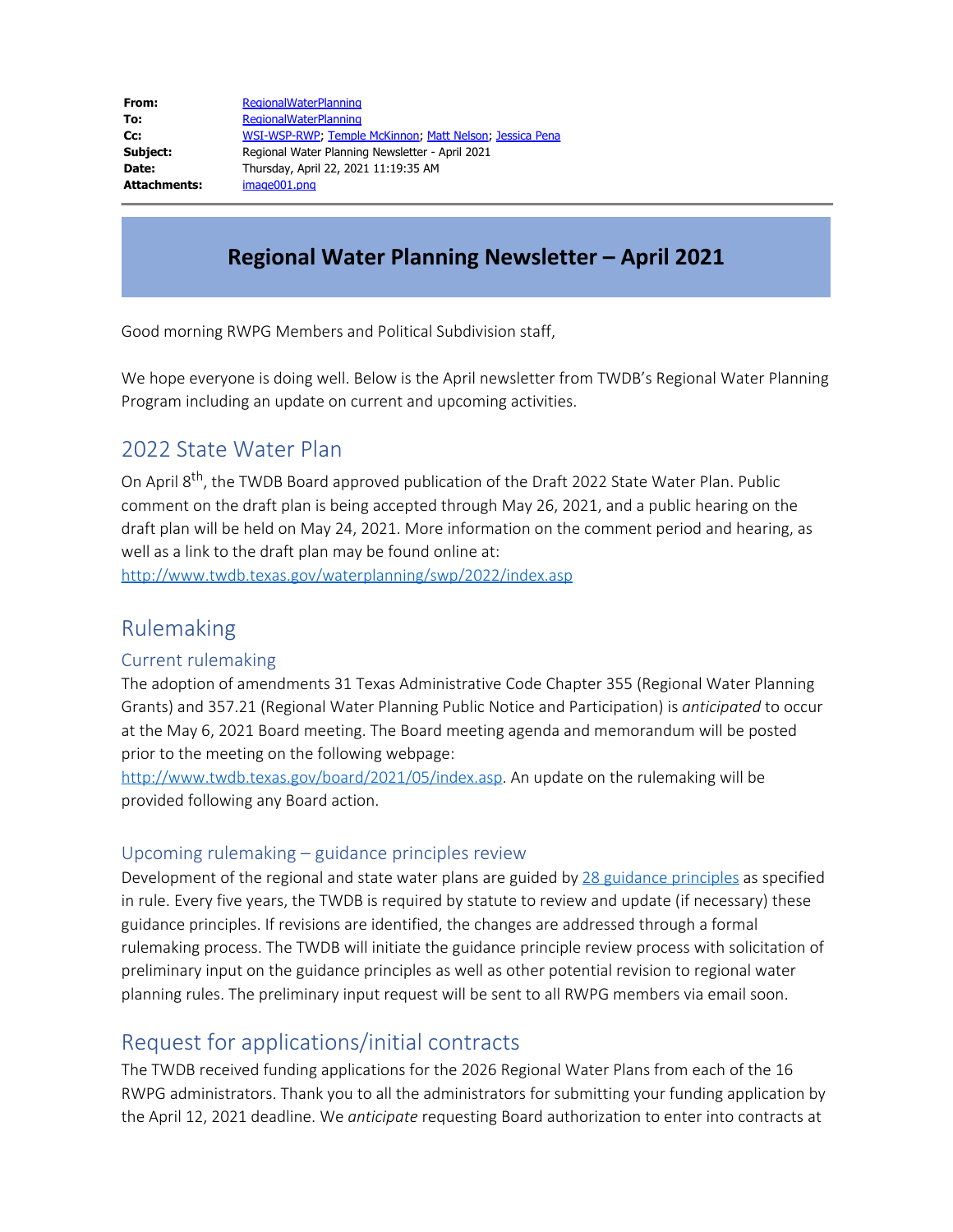| From:        | <b>RegionalWaterPlanning</b>                            |
|--------------|---------------------------------------------------------|
| To:          | <b>RegionalWaterPlanning</b>                            |
| Cc:          | WSI-WSP-RWP, Temple McKinnon, Matt Nelson, Jessica Pena |
| Subject:     | Regional Water Planning Newsletter - April 2021         |
| Date:        | Thursday, April 22, 2021 11:19:35 AM                    |
| Attachments: | image001.png                                            |

# **Regional Water Planning Newsletter – April 2021**

Good morning RWPG Members and Political Subdivision staff,

We hope everyone is doing well. Below is the April newsletter from TWDB's Regional Water Planning Program including an update on current and upcoming activities.

#### 2022 State Water Plan

On April 8<sup>th</sup>, the TWDB Board approved publication of the Draft 2022 State Water Plan. Public comment on the draft plan is being accepted through May 26, 2021, and a public hearing on the draft plan will be held on May 24, 2021. More information on the comment period and hearing, as well as a link to the draft plan may be found online at:

<http://www.twdb.texas.gov/waterplanning/swp/2022/index.asp>

#### Rulemaking

#### Current rulemaking

The adoption of amendments 31 Texas Administrative Code Chapter 355 (Regional Water Planning Grants) and 357.21 (Regional Water Planning Public Notice and Participation) is *anticipated* to occur at the May 6, 2021 Board meeting. The Board meeting agenda and memorandum will be posted prior to the meeting on the following webpage:

[http://www.twdb.texas.gov/board/2021/05/index.asp.](http://www.twdb.texas.gov/board/2021/05/index.asp) An update on the rulemaking will be provided following any Board action.

#### Upcoming rulemaking – guidance principles review

Development of the regional and state water plans are guided by [28 guidance principles](https://texreg.sos.state.tx.us/public/readtac$ext.TacPage?sl=R&app=9&p_dir=&p_rloc=&p_tloc=&p_ploc=&pg=1&p_tac=&ti=31&pt=10&ch=358&rl=3) as specified in rule. Every five years, the TWDB is required by statute to review and update (if necessary) these guidance principles. If revisions are identified, the changes are addressed through a formal rulemaking process. The TWDB will initiate the guidance principle review process with solicitation of preliminary input on the guidance principles as well as other potential revision to regional water planning rules. The preliminary input request will be sent to all RWPG members via email soon.

### Request for applications/initial contracts

The TWDB received funding applications for the 2026 Regional Water Plans from each of the 16 RWPG administrators. Thank you to all the administrators for submitting your funding application by the April 12, 2021 deadline. We *anticipate* requesting Board authorization to enter into contracts at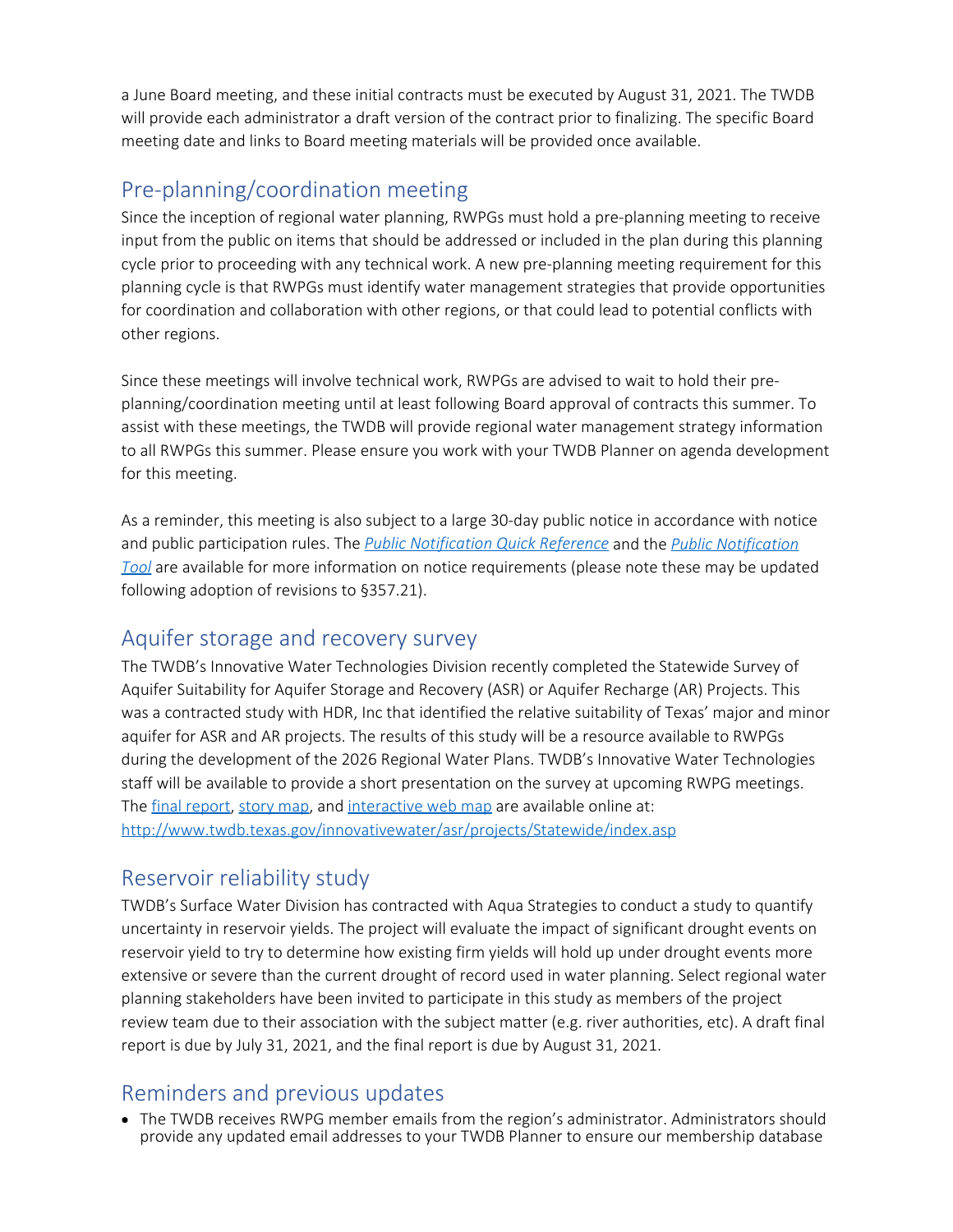a June Board meeting, and these initial contracts must be executed by August 31, 2021. The TWDB will provide each administrator a draft version of the contract prior to finalizing. The specific Board meeting date and links to Board meeting materials will be provided once available.

# Pre-planning/coordination meeting

Since the inception of regional water planning, RWPGs must hold a pre-planning meeting to receive input from the public on items that should be addressed or included in the plan during this planning cycle prior to proceeding with any technical work. A new pre-planning meeting requirement for this planning cycle is that RWPGs must identify water management strategies that provide opportunities for coordination and collaboration with other regions, or that could lead to potential conflicts with other regions.

Since these meetings will involve technical work, RWPGs are advised to wait to hold their preplanning/coordination meeting until at least following Board approval of contracts this summer. To assist with these meetings, the TWDB will provide regional water management strategy information to all RWPGs this summer. Please ensure you work with your TWDB Planner on agenda development for this meeting.

As a reminder, this meeting is also subject to a large 30-day public notice in accordance with notice and public participation rules. The *[Public Notification Quick Reference](https://www.twdb.texas.gov/waterplanning/rwp/planningdocu/2021/doc/current_docs/admin_docs/public_notice_quick_ref.pdf?d=17123.160000075586)* and the *[Public Notification](https://www.twdb.texas.gov/waterplanning/rwp/planningdocu/2021/doc/current_docs/admin_docs/RWPPublicNoticeTool.xlsx) [Tool](https://www.twdb.texas.gov/waterplanning/rwp/planningdocu/2021/doc/current_docs/admin_docs/RWPPublicNoticeTool.xlsx)* are available for more information on notice requirements (please note these may be updated following adoption of revisions to §357.21).

#### Aquifer storage and recovery survey

The TWDB's Innovative Water Technologies Division recently completed the Statewide Survey of Aquifer Suitability for Aquifer Storage and Recovery (ASR) or Aquifer Recharge (AR) Projects. This was a contracted study with HDR, Inc that identified the relative suitability of Texas' major and minor aquifer for ASR and AR projects. The results of this study will be a resource available to RWPGs during the development of the 2026 Regional Water Plans. TWDB's Innovative Water Technologies staff will be available to provide a short presentation on the survey at upcoming RWPG meetings. The [final report](http://www.twdb.texas.gov/publications/reports/contracted_reports/doc/2000012405.pdf), [story map](https://twdb-wsc.maps.arcgis.com/apps/MapSeries/index.html?appid=75313de26daf4994bcb590fdb8846b80), and [interactive web map](https://twdb-wsc.maps.arcgis.com/apps/webappviewer/index.html?id=50d9b795672243d387cef438f7c62311) are available online at: <http://www.twdb.texas.gov/innovativewater/asr/projects/Statewide/index.asp>

# Reservoir reliability study

TWDB's Surface Water Division has contracted with Aqua Strategies to conduct a study to quantify uncertainty in reservoir yields. The project will evaluate the impact of significant drought events on reservoir yield to try to determine how existing firm yields will hold up under drought events more extensive or severe than the current drought of record used in water planning. Select regional water planning stakeholders have been invited to participate in this study as members of the project review team due to their association with the subject matter (e.g. river authorities, etc). A draft final report is due by July 31, 2021, and the final report is due by August 31, 2021.

# Reminders and previous updates

The TWDB receives RWPG member emails from the region's administrator. Administrators should provide any updated email addresses to your TWDB Planner to ensure our membership database